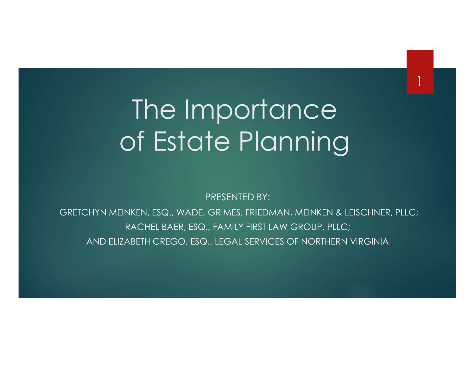## The Importance of Estate Planning

1

PRESENTED BY:

GRETCHYN MEINKEN, ESQ., WADE, GRIMES, FRIEDMAN, MEINKEN & LEISCHNER, PLLC; RACHEL BAER, ESQ., FAMILY FIRST LAW GROUP, PLLC; AND ELIZABETH CREGO, ESQ., LEGAL SERVICES OF NORTHERN VIRGINIA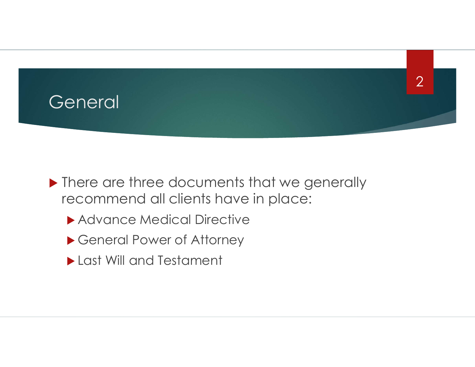

- Inere are three documents that we generally recommend all clients have in place:
	- ▶ Advance Medical Directive
	- General Power of Attorney
	- Last Will and Testament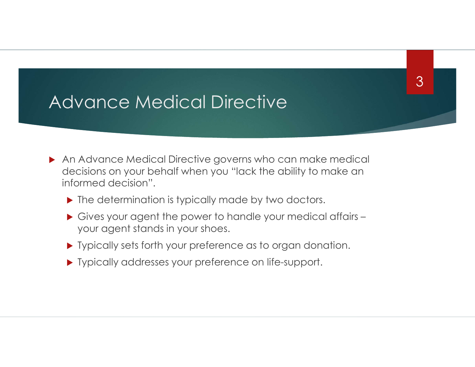## Advance Medical Directive

- ▶ An Advance Medical Directive governs who can make medical decisions on your behalf when you "lack the ability to make an informed decision".
	- $\blacktriangleright$  The determination is typically made by two doctors.
	- Gives your agent the power to handle your medical affairs your agent stands in your shoes.
	- Typically sets forth your preference as to organ donation.
	- **Typically addresses your preference on life-support.**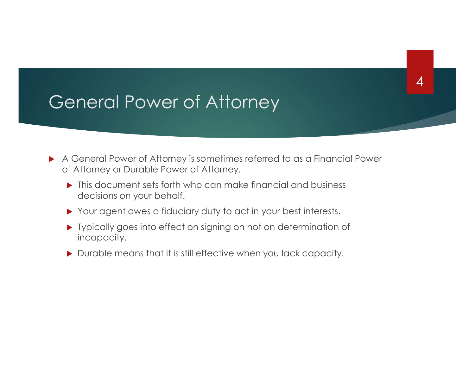## General Power of Attorney

 A General Power of Attorney is sometimes referred to as a Financial Power of Attorney or Durable Power of Attorney.

- **In** This document sets forth who can make financial and business decisions on your behalf.
- Your agent owes a fiduciary duty to act in your best interests.
- Typically goes into effect on signing on not on determination of incapacity.
- Durable means that it is still effective when you lack capacity.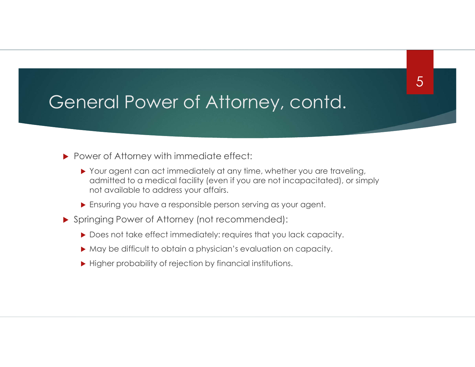### General Power of Attorney, contd.

Power of Attorney with immediate effect:

▶ Your agent can act immediately at any time, whether you are traveling, admitted to a medical facility (even if you are not incapacitated), or simply not available to address your affairs.

- **Ensuring you have a responsible person serving as your agent.**
- Springing Power of Attorney (not recommended):
	- ▶ Does not take effect immediately: requires that you lack capacity.
	- May be difficult to obtain a physician's evaluation on capacity.
	- $\blacktriangleright$  Higher probability of rejection by financial institutions.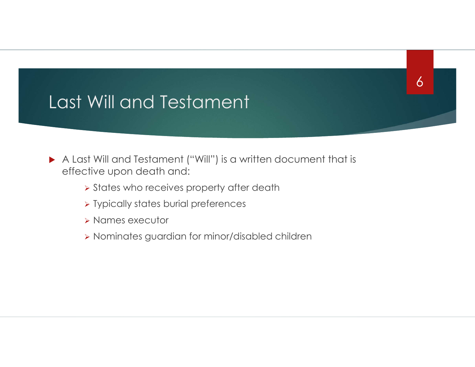## Last Will and Testament

- A Last Will and Testament ("Will") is a written document that is effective upon death and:
	- **> States who receives property after death**
	- **> Typically states burial preferences**
	- Names executor
	- Nominates guardian for minor/disabled children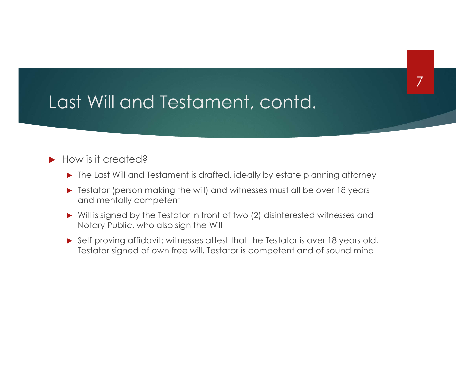## Last Will and Testament, contd.

#### How is it created?

▶ The Last Will and Testament is drafted, ideally by estate planning attorney

- ▶ Testator (person making the will) and witnesses must all be over 18 years and mentally competent
- Will is signed by the Testator in front of two (2) disinterested witnesses and Notary Public, who also sign the Will
- Self-proving affidavit: witnesses attest that the Testator is over 18 years old, Testator signed of own free will, Testator is competent and of sound mind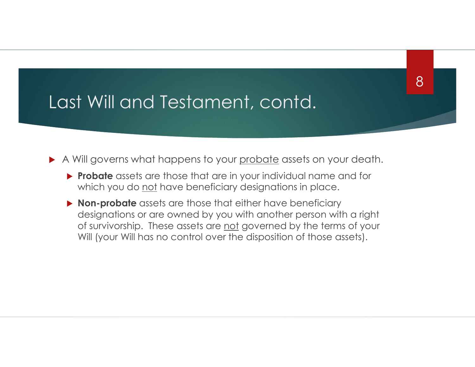## Last Will and Testament, contd.

- 
- Reserved Marketter and Testament Containstance assets on your death.<br>
A Will governs what happens to your <u>probate</u> assets on your death.<br> **Probat**e assets are those that are in your individual name and for which you do <u>n</u> **Probate** assets are those that are in your individual name and for
	- Will and Testament, contd.<br>Will governs what happens to your <u>probate</u> assets on your death.<br>Probate assets are those that are in your individual name and for<br>which you do <u>not</u> have beneficiary designations in place.<br>Non-▶ Non-probate assets are those that either have beneficiary designations or are owned by you with another person with a right **Sof Survivorship Survivorship**<br> **OF SURFORT SURFORT SURFORT SURFORT SURFORT SURFORT SURFORT SURFORT SURFORT SURFORT SURFORT SURFORT SURFORT AND A survivorship. These assets are not governed by the terms of your Will (your** Will (your Will has no control over the disposition of those assets).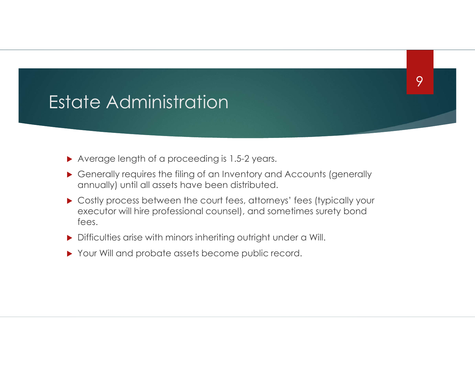## Estate Administration

- Average length of a proceeding is 1.5-2 years.
- ▶ Generally requires the filing of an Inventory and Accounts (generally annually) until all assets have been distributed.
- ▶ Costly process between the court fees, attorneys' fees (typically your executor will hire professional counsel), and sometimes surety bond fees.
- Difficulties arise with minors inheriting outright under a Will.
- Your Will and probate assets become public record.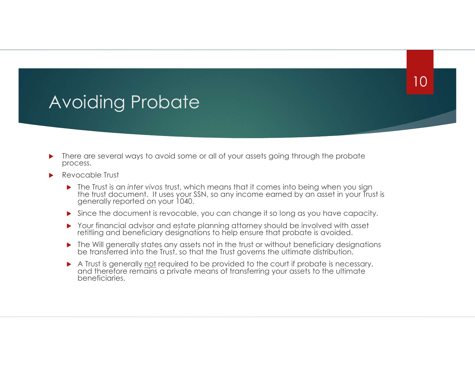## Avoiding Probate

- **There are several ways to avoid some or all of your assets going through the probate** process.
- Revocable Trust
- ▶ The Trust is an *inter vivos trust, which means that it comes into being when you sign the trust document.* It uses your SSN, so any income earned by an asset in your Trust is generally reported on your 1040. A Trust is general ways to avoid some or all of your assets going through the probate<br>process.<br>
A Trust is an inter vivos trust, which means that if comes into being when you sign<br>
the frust is an inter vivos trust, which

- Since the document is revocable, you can change it so long as you have capacity.
- Your financial advisor and estate planning attorney should be involved with asset retitling and beneficiary designations to help ensure that probate is avoided.
- The Will generally states any assets not in the trust or without beneficiary designations be transferred into the Trust, so that the Trust governs the ultimate distribution.
-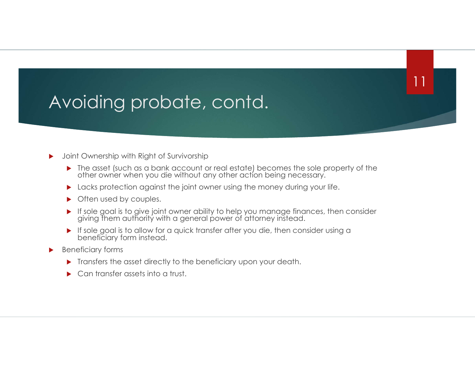#### 11

## Avoiding probate, contd.

#### Duint Ownership with Right of Survivorship

- The asset (such as a bank account or real estate) becomes the sole property of the other owner when you die without any other action being necessary.
- ▶ Lacks protection against the joint owner using the money during your life.
- **Often used by couples.**
- If sole goal is to give joint owner ability to help you manage finances, then consider giving them authority with a general power of attorney instead.
- If sole goal is to allow for a quick transfer after you die, then consider using a beneficiary form instead.
- Beneficiary forms
	- **Transfers the asset directly to the beneficiary upon your death.**
	- Can transfer assets into a trust.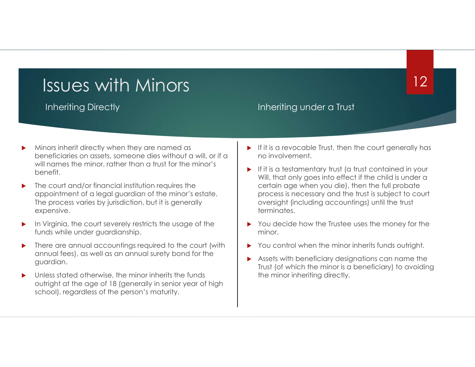# Issues with Minors Inheriting Directly<br>Inheriting Directly Inheriting under a Trust<br>In the state of the United States of the United States of the United States of the United States of the United

- Minors inherit directly when they are named as beneficiaries on assets, someone dies without a will, or if a will names the minor, rather than a trust for the minor's benefit.
- The court and/or financial institution requires the appointment of a legal guardian of the minor's estate. The process varies by jurisdiction, but it is generally expensive.
- In Virginia, the court severely restricts the usage of the funds while under guardianship.
- There are annual accountings required to the court (with annual fees), as well as an annual surety bond for the guardian.
- Unless stated otherwise, the minor inherits the funds outright at the age of 18 (generally in senior year of high school), regardless of the person's maturity.
- $\blacktriangleright$  If it is a revocable Trust, then the court generally has no involvement.
- If it is a testamentary trust (a trust contained in your Will, that only goes into effect if the child is under a certain age when you die), then the full probate process is necessary and the trust is subject to court oversight (including accountings) until the trust terminates.
- You decide how the Trustee uses the money for the minor.
- You control when the minor inherits funds outright.
- Assets with beneficiary designations can name the Trust (of which the minor is a beneficiary) to avoiding the minor inheriting directly.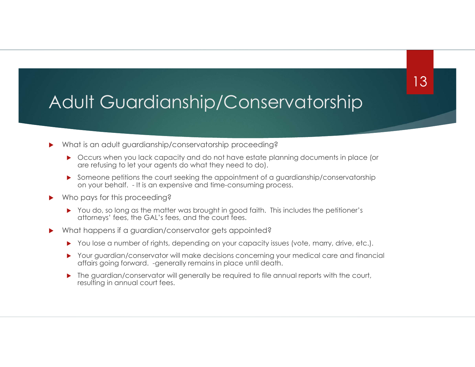# Adult Guardianship/Conservatorship Ult Guardianship/Conservatories<br>on your behalf in the analytic and the set of the set of the set of the set of<br>occurs when you lack capacity and do not have estate planning documents in<br>are refusing to let your agents do w

- What is an adult guardianship/conservatorship proceeding?
	- ▶ Occurs when you lack capacity and do not have estate planning documents in place (or are refusing to let your agents do what they need to do).
	- Someone petitions the court seeking the appointment of a guardianship/conservatorship
- Who pays for this proceeding?
	- You do, so long as the matter was brought in good faith. This includes the petitioner's attorneys' fees, the GAL's fees, and the court fees.
- What happens if a guardian/conservator gets appointed?
	- You lose a number of rights, depending on your capacity issues (vote, marry, drive, etc.).
	- Your guardian/conservator will make decisions concerning your medical care and financial affairs going forward. -generally remains in place until death.
	- The guardian/conservator will generally be required to file annual reports with the court, resulting in annual court fees.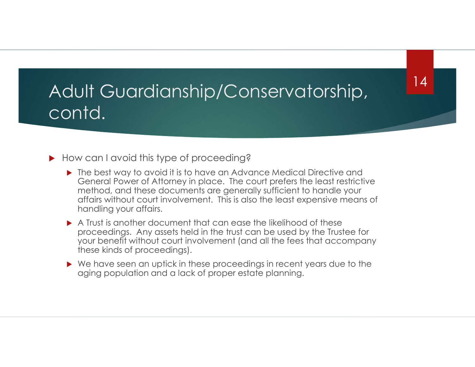## Adult Guardianship/Conservatorship, contd.

- ▶ How can I avoid this type of proceeding?
	- ▶ The best way to avoid it is to have an Advance Medical Directive and General Power of Attorney in place. The court prefers the least restrictive method, and these documents are generally sufficient to handle your affairs without court involvement. This is also the least expensive means of handling your affairs.
	- A Trust is another document that can ease the likelihood of these proceedings. Any assets held in the trust can be used by the Trustee for your benefit without court involvement (and all the fees that accompany these kinds of proceedings).
	- ▶ We have seen an uptick in these proceedings in recent years due to the aging population and a lack of proper estate planning.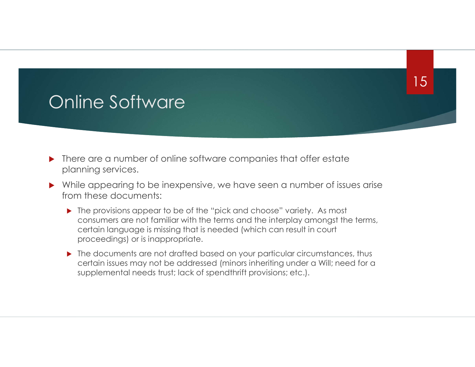## Online Software

- ▶ There are a number of online software companies that offer estate planning services.
- While appearing to be inexpensive, we have seen a number of issues arise from these documents:
	- ▶ The provisions appear to be of the "pick and choose" variety. As most consumers are not familiar with the terms and the interplay amongst the terms, certain language is missing that is needed (which can result in court proceedings) or is inappropriate.
	- ▶ The documents are not drafted based on your particular circumstances, thus certain issues may not be addressed (minors inheriting under a Will; need for a supplemental needs trust; lack of spendthrift provisions; etc.).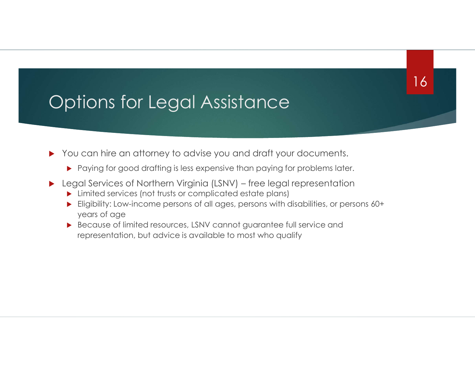## Options for Legal Assistance

- You can hire an attorney to advise you and draft your documents.
	- **Paying for good drafting is less expensive than paying for problems later.**
- - **Limited services (not trusts or complicated estate plans)**
- **Options for Legal Assistance**<br>
Nou can hire an attorney to advise you and draft your documents.<br>
Novig for good drafting is less expensive than paying for problems later.<br>
Numeral services of Northern Virginia (LSNV) f ▶ Eligibility: Low-income persons of all ages, persons with disabilities, or persons 60+ years of age
	- Because of limited resources, LSNV cannot guarantee full service and representation, but advice is available to most who qualify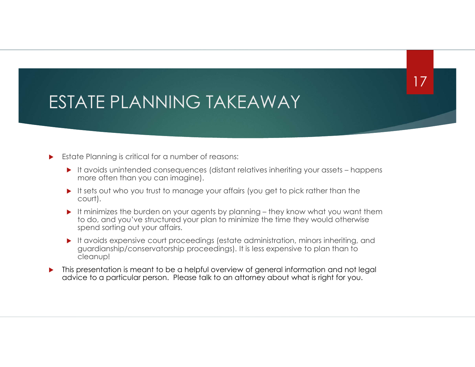## ESTATE PLANNING TAKEAWAY

- Estate Planning is critical for a number of reasons:
- TATE PLANNING TAKEAWAY<br>
IT and the Planning is critical for a number of reasons:<br>
It avoids unintended consequences (distant relatives inheriting your assets happens<br>
Ince of the than tou can imagine).<br>
It is so twit by more often than you can imagine).
	- It sets out who you trust to manage your affairs (you get to pick rather than the court).
- TATE PLANNING TAKEAWAY<br>
state Planning is critical for a number of reasons:<br>
It avoids unintended consequences (distant relatives inheriting your assets happens<br>
more often than you can imagine).<br>
Let not who you trust t to do, and you've structured your plan to minimize the time they would otherwise spend sorting out your affairs.
	- It avoids expensive court proceedings (estate administration, minors inheriting, and guardianship/conservatorship proceedings). It is less expensive to plan than to cleanup!
- This presentation is meant to be a helpful overview of general information and not legal advice to a particular person. Please talk to an attorney about what is right for you.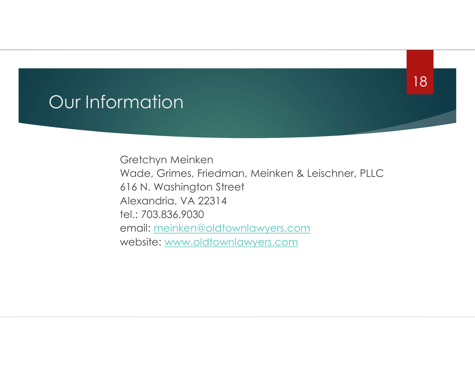## Our Information

Gretchyn Meinken Wade, Grimes, Friedman, Meinken & Leischner, PLLC 616 N. Washington Street Alexandria, VA 22314 tel.: 703.836.9030 email: meinken@oldtownlawyers.com website: www.oldtownlawyers.com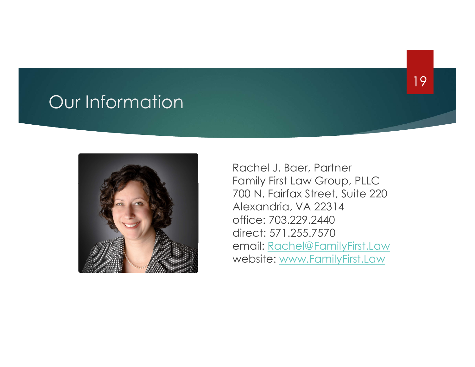## Our Information



Rachel J. Baer, Partner Family First Law Group, PLLC 700 N. Fairfax Street, Suite 220 Alexandria, VA 22314 office: 703.229.2440 direct: 571.255.7570 email: Rachel@FamilyFirst.Law website: www.FamilyFirst.Law